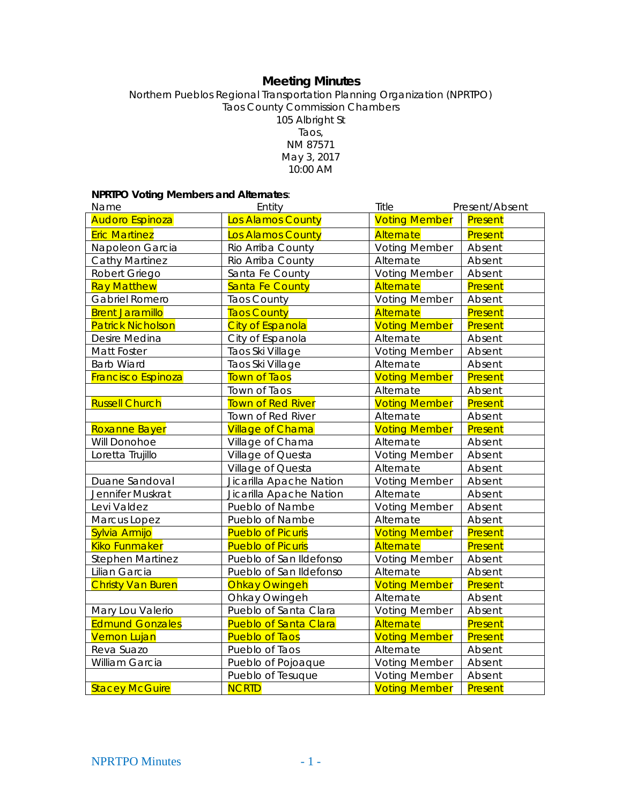# **Meeting Minutes**

Northern Pueblos Regional Transportation Planning Organization (NPRTPO) Taos County Commission Chambers 105 Albright St Taos, NM 87571 May 3, 2017 10:00 AM

# **NPRTPO Voting Members and Alternates**:

| Name                      | Entity                       | Title                | Present/Absent |
|---------------------------|------------------------------|----------------------|----------------|
| <b>Audoro Espinoza</b>    | Los Alamos County            | <b>Voting Member</b> | Present        |
| <b>Eric Martinez</b>      | Los Alamos County            | Alternate            | Present        |
| Napoleon Garcia           | Rio Arriba County            | <b>Voting Member</b> | Absent         |
| Cathy Martinez            | Rio Arriba County            | Alternate            | Absent         |
| Robert Griego             | Santa Fe County              | <b>Voting Member</b> | Absent         |
| <b>Ray Matthew</b>        | <b>Santa Fe County</b>       | Alternate            | Present        |
| Gabriel Romero            | <b>Taos County</b>           | <b>Voting Member</b> | Absent         |
| <b>Brent Jaramillo</b>    | <b>Taos County</b>           | Alternate            | Present        |
| <b>Patrick Nicholson</b>  | <b>City of Espanola</b>      | <b>Voting Member</b> | Present        |
| Desire Medina             | City of Espanola             | Alternate            | Absent         |
| Matt Foster               | Taos Ski Village             | <b>Voting Member</b> | Absent         |
| <b>Barb Wiard</b>         | Taos Ski Village             | Alternate            | Absent         |
| <b>Francisco Espinoza</b> | <b>Town of Taos</b>          | <b>Voting Member</b> | Present        |
|                           | Town of Taos                 | Alternate            | Absent         |
| <b>Russell Church</b>     | <b>Town of Red River</b>     | <b>Voting Member</b> | Present        |
|                           | Town of Red River            | Alternate            | Absent         |
| Roxanne Bayer             | <b>Village of Chama</b>      | <b>Voting Member</b> | Present        |
| Will Donohoe              | Village of Chama             | Alternate            | Absent         |
| Loretta Trujillo          | Village of Questa            | <b>Voting Member</b> | Absent         |
|                           | Village of Questa            | Alternate            | Absent         |
| Duane Sandoval            | Jicarilla Apache Nation      | <b>Voting Member</b> | Absent         |
| Jennifer Muskrat          | Jicarilla Apache Nation      | Alternate            | Absent         |
| Levi Valdez               | Pueblo of Nambe              | <b>Voting Member</b> | Absent         |
| Marcus Lopez              | Pueblo of Nambe              | Alternate            | Absent         |
| Sylvia Armijo             | <b>Pueblo of Picuris</b>     | <b>Voting Member</b> | Present        |
| <b>Kiko Funmaker</b>      | <b>Pueblo of Picuris</b>     | Alternate            | Present        |
| <b>Stephen Martinez</b>   | Pueblo of San Ildefonso      | <b>Voting Member</b> | Absent         |
| Lilian Garcia             | Pueblo of San Ildefonso      | Alternate            | Absent         |
| <b>Christy Van Buren</b>  | <b>Ohkay Owingeh</b>         | <b>Voting Member</b> | Present        |
|                           | Ohkay Owingeh                | Alternate            | Absent         |
| Mary Lou Valerio          | Pueblo of Santa Clara        | <b>Voting Member</b> | Absent         |
| <b>Edmund Gonzales</b>    | <b>Pueblo of Santa Clara</b> | Alternate            | Present        |
| <b>Vernon Lujan</b>       | <b>Pueblo of Taos</b>        | <b>Voting Member</b> | Present        |
| Reva Suazo                | Pueblo of Taos               | Alternate            | Absent         |
| William Garcia            | Pueblo of Pojoaque           | <b>Voting Member</b> | Absent         |
|                           | Pueblo of Tesuque            | <b>Voting Member</b> | Absent         |
| <b>Stacey McGuire</b>     | <b>NCRTD</b>                 | <b>Voting Member</b> | Present        |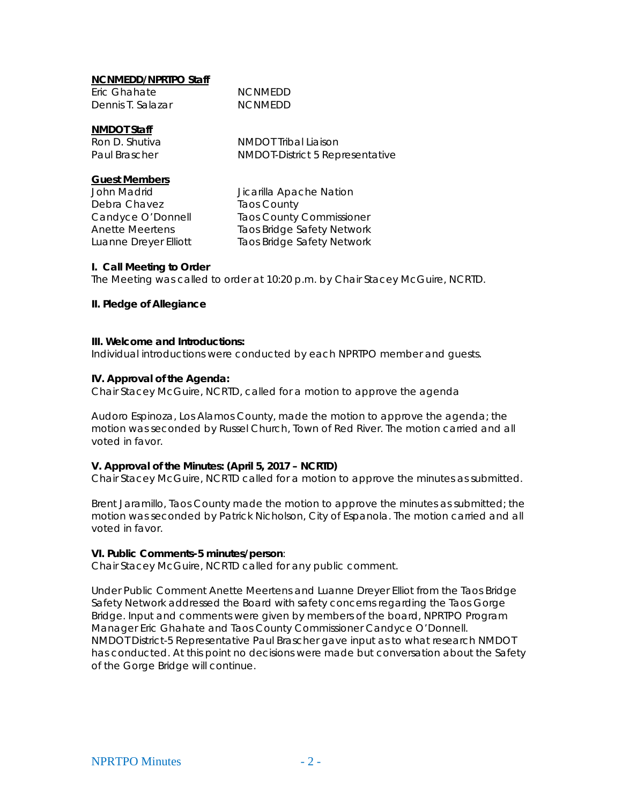# **NCNMEDD/NPRTPO Staff**

| Eric Ghahate      | <b>NCNMEDD</b> |
|-------------------|----------------|
| Dennis T. Salazar | <b>NCNMEDD</b> |

# **NMDOT Staff**

Ron D. Shutiva<br>
Paul Brascher<br>
NMDOT-District 5 Rep NMDOT-District 5 Representative

# **Guest Members**

Debra Chavez Taos County

John Madrid **Jicarilla Apache Nation** Candyce O'Donnell Taos County Commissioner Anette Meertens Taos Bridge Safety Network Luanne Dreyer Elliott Taos Bridge Safety Network

# **I. Call Meeting to Order**

The Meeting was called to order at 10:20 p.m. by Chair Stacey McGuire, NCRTD.

### **II. Pledge of Allegiance**

#### **III. Welcome and Introductions:**

Individual introductions were conducted by each NPRTPO member and guests.

### **IV. Approval of the Agenda:**

Chair Stacey McGuire, NCRTD, called for a motion to approve the agenda

Audoro Espinoza, Los Alamos County, made the motion to approve the agenda; the motion was seconded by Russel Church, Town of Red River. The motion carried and all voted in favor.

# **V. Approval of the Minutes: (April 5, 2017 – NCRTD)**

Chair Stacey McGuire, NCRTD called for a motion to approve the minutes as submitted.

Brent Jaramillo, Taos County made the motion to approve the minutes as submitted; the motion was seconded by Patrick Nicholson, City of Espanola. The motion carried and all voted in favor.

#### **VI. Public Comments-5 minutes/person**:

Chair Stacey McGuire, NCRTD called for any public comment.

Under Public Comment Anette Meertens and Luanne Dreyer Elliot from the Taos Bridge Safety Network addressed the Board with safety concerns regarding the Taos Gorge Bridge. Input and comments were given by members of the board, NPRTPO Program Manager Eric Ghahate and Taos County Commissioner Candyce O'Donnell. NMDOT District-5 Representative Paul Brascher gave input as to what research NMDOT has conducted. At this point no decisions were made but conversation about the Safety of the Gorge Bridge will continue.